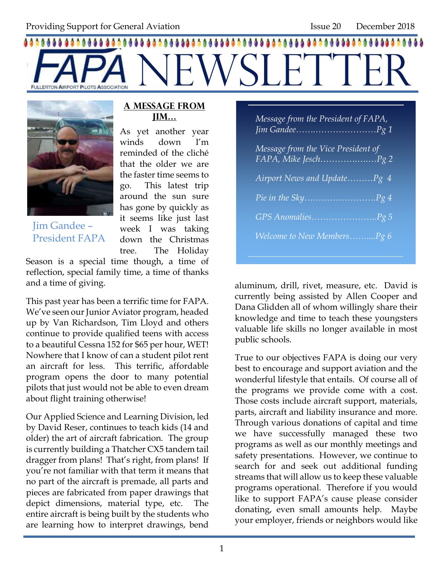# 8888888888888 A NEWSLETTER



Jim Gandee – President FAPA

#### **A Message from Jim…**

As yet another year winds down I'm reminded of the cliché that the older we are the faster time seems to go. This latest trip around the sun sure has gone by quickly as it seems like just last week I was taking down the Christmas tree. The Holiday

Season is a special time though, a time of reflection, special family time, a time of thanks and a time of giving.

This past year has been a terrific time for FAPA. We've seen our Junior Aviator program, headed up by Van Richardson, Tim Lloyd and others continue to provide qualified teens with access to a beautiful Cessna 152 for \$65 per hour, WET! Nowhere that I know of can a student pilot rent an aircraft for less. This terrific, affordable program opens the door to many potential pilots that just would not be able to even dream about flight training otherwise!

Our Applied Science and Learning Division, led by David Reser, continues to teach kids (14 and older) the art of aircraft fabrication. The group is currently building a Thatcher CX5 tandem tail dragger from plans! That's right, from plans! If you're not familiar with that term it means that no part of the aircraft is premade, all parts and pieces are fabricated from paper drawings that depict dimensions, material type, etc. The entire aircraft is being built by the students who are learning how to interpret drawings, bend

| Message from the President of FAPA, |
|-------------------------------------|
| Message from the Vice President of  |
| Airport News and Update Pg 4        |
|                                     |
|                                     |
| Welcome to New MembersPg 6          |

aluminum, drill, rivet, measure, etc. David is currently being assisted by Allen Cooper and Dana Glidden all of whom willingly share their knowledge and time to teach these youngsters valuable life skills no longer available in most public schools.

True to our objectives FAPA is doing our very best to encourage and support aviation and the wonderful lifestyle that entails. Of course all of the programs we provide come with a cost. Those costs include aircraft support, materials, parts, aircraft and liability insurance and more. Through various donations of capital and time we have successfully managed these two programs as well as our monthly meetings and safety presentations. However, we continue to search for and seek out additional funding streams that will allow us to keep these valuable programs operational. Therefore if you would like to support FAPA's cause please consider donating, even small amounts help. Maybe your employer, friends or neighbors would like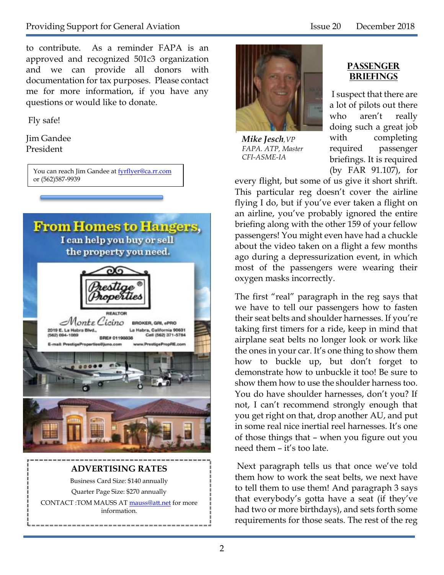to contribute. As a reminder FAPA is an approved and recognized 501c3 organization and we can provide all donors with documentation for tax purposes. Please contact me for more information, if you have any questions or would like to donate.

Fly safe!

Jim Gandee President

> You can reach Jim Gandee at [fyrflyer@ca.rr.com](mailto:fyrflyer@ca.rr.com) or (562)587-9939



#### **ADVERTISING RATES** Business Card Size: \$140 annually Quarter Page Size: \$270 annually CONTACT :TOM MAUSS A[T mauss@att.net](mailto:mauss@att.net) for more information.



*Mike Jesch,VP FAPA. ATP, Master CFI-ASME-IA*

#### **Passenger Briefings**

I suspect that there are a lot of pilots out there who aren't really doing such a great job with completing required passenger briefings. It is required (by FAR 91.107), for

every flight, but some of us give it short shrift. This particular reg doesn't cover the airline flying I do, but if you've ever taken a flight on an airline, you've probably ignored the entire briefing along with the other 159 of your fellow passengers! You might even have had a chuckle about the video taken on a flight a few months ago during a depressurization event, in which most of the passengers were wearing their oxygen masks incorrectly.

The first "real" paragraph in the reg says that we have to tell our passengers how to fasten their seat belts and shoulder harnesses. If you're taking first timers for a ride, keep in mind that airplane seat belts no longer look or work like the ones in your car. It's one thing to show them how to buckle up, but don't forget to demonstrate how to unbuckle it too! Be sure to show them how to use the shoulder harness too. You do have shoulder harnesses, don't you? If not, I can't recommend strongly enough that you get right on that, drop another AU, and put in some real nice inertial reel harnesses. It's one of those things that – when you figure out you need them – it's too late.

Next paragraph tells us that once we've told them how to work the seat belts, we next have to tell them to use them! And paragraph 3 says that everybody's gotta have a seat (if they've had two or more birthdays), and sets forth some requirements for those seats. The rest of the reg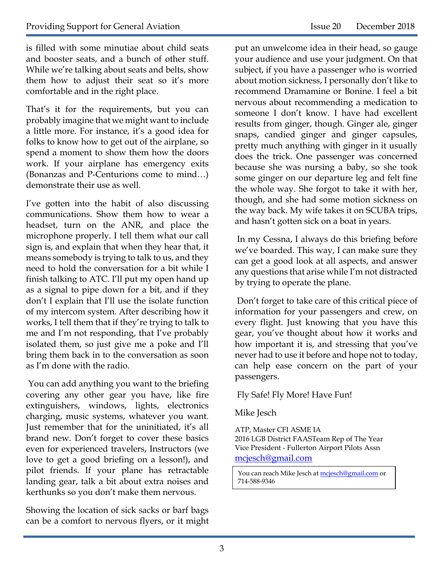is filled with some minutiae about child seats and booster seats, and a bunch of other stuff. While we're talking about seats and belts, show them how to adjust their seat so it's more comfortable and in the right place.

That's it for the requirements, but you can probably imagine that we might want to include a little more. For instance, it's a good idea for folks to know how to get out of the airplane, so spend a moment to show them how the doors work. If your airplane has emergency exits (Bonanzas and P-Centurions come to mind…) demonstrate their use as well.

I've gotten into the habit of also discussing communications. Show them how to wear a headset, turn on the ANR, and place the microphone properly. I tell them what our call sign is, and explain that when they hear that, it means somebody is trying to talk to us, and they need to hold the conversation for a bit while I finish talking to ATC. I'll put my open hand up as a signal to pipe down for a bit, and if they don't I explain that I'll use the isolate function of my intercom system. After describing how it works, I tell them that if they're trying to talk to me and I'm not responding, that I've probably isolated them, so just give me a poke and I'll bring them back in to the conversation as soon as I'm done with the radio.

You can add anything you want to the briefing covering any other gear you have, like fire extinguishers, windows, lights, electronics charging, music systems, whatever you want. Just remember that for the uninitiated, it's all brand new. Don't forget to cover these basics even for experienced travelers, Instructors (we love to get a good briefing on a lesson!), and pilot friends. If your plane has retractable landing gear, talk a bit about extra noises and kerthunks so you don't make them nervous.

Showing the location of sick sacks or barf bags can be a comfort to nervous flyers, or it might put an unwelcome idea in their head, so gauge your audience and use your judgment. On that subject, if you have a passenger who is worried about motion sickness, I personally don't like to recommend Dramamine or Bonine. I feel a bit nervous about recommending a medication to someone I don't know. I have had excellent results from ginger, though. Ginger ale, ginger snaps, candied ginger and ginger capsules, pretty much anything with ginger in it usually does the trick. One passenger was concerned because she was nursing a baby, so she took some ginger on our departure leg and felt fine the whole way. She forgot to take it with her, though, and she had some motion sickness on the way back. My wife takes it on SCUBA trips, and hasn't gotten sick on a boat in years.

In my Cessna, I always do this briefing before we've boarded. This way, I can make sure they can get a good look at all aspects, and answer any questions that arise while I'm not distracted by trying to operate the plane.

Don't forget to take care of this critical piece of information for your passengers and crew, on every flight. Just knowing that you have this gear, you've thought about how it works and how important it is, and stressing that you've never had to use it before and hope not to today, can help ease concern on the part of your passengers.

#### Fly Safe! Fly More! Have Fun!

#### Mike Jesch

ATP, Master CFI ASME IA 2016 LGB District FAASTeam Rep of The Year Vice President - Fullerton Airport Pilots Assn mcjesch@gmail.com

You can reach Mike Jesch a[t mcjesch@gmail.com](mailto:mcjesch@gmail.com) or 714-588-9346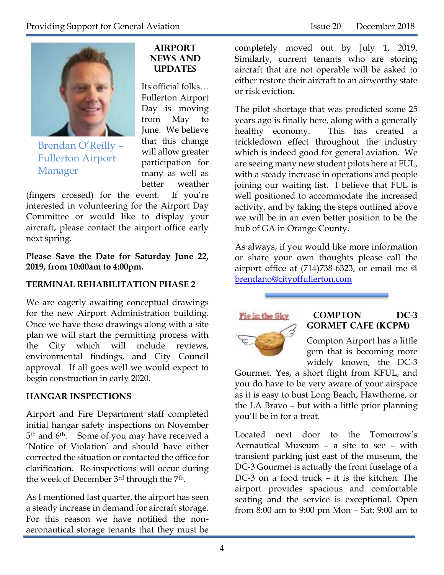

Brendan O'Reilly – Fullerton Airport Manager

#### **Airport News and UPDATES**

Its official folks… Fullerton Airport Day is moving from May to June. We believe that this change will allow greater participation for many as well as better weather

(fingers crossed) for the event. If you're interested in volunteering for the Airport Day Committee or would like to display your aircraft, please contact the airport office early next spring.

**Please Save the Date for Saturday June 22, 2019, from 10:00am to 4:00pm.**

#### **TERMINAL REHABILITATION PHASE 2**

We are eagerly awaiting conceptual drawings for the new Airport Administration building. Once we have these drawings along with a site plan we will start the permitting process with the City which will include reviews, environmental findings, and City Council approval. If all goes well we would expect to begin construction in early 2020.

#### **HANGAR INSPECTIONS**

Airport and Fire Department staff completed initial hangar safety inspections on November 5<sup>th</sup> and 6<sup>th</sup>. Some of you may have received a 'Notice of Violation' and should have either corrected the situation or contacted the office for clarification. Re-inspections will occur during the week of December 3rd through the 7<sup>th</sup>.

As I mentioned last quarter, the airport has seen a steady increase in demand for aircraft storage. For this reason we have notified the nonaeronautical storage tenants that they must be

completely moved out by July 1, 2019. Similarly, current tenants who are storing aircraft that are not operable will be asked to either restore their aircraft to an airworthy state or risk eviction.

The pilot shortage that was predicted some 25 years ago is finally here, along with a generally healthy economy. This has created a trickledown effect throughout the industry which is indeed good for general aviation. We are seeing many new student pilots here at FUL, with a steady increase in operations and people joining our waiting list. I believe that FUL is well positioned to accommodate the increased activity, and by taking the steps outlined above we will be in an even better position to be the hub of GA in Orange County.

As always, if you would like more information or share your own thoughts please call the airport office at (714)738-6323, or email me @ [brendano@cityoffullerton.com](mailto:brendano@cityoffullerton.com)



#### **Compton DC-3 Gormet Cafe (KCPM)**

Compton Airport has a little gem that is becoming more widely known, the DC-3

Gourmet. Yes, a short flight from KFUL, and you do have to be very aware of your airspace as it is easy to bust Long Beach, Hawthorne, or the LA Bravo – but with a little prior planning you'll be in for a treat.

Located next door to the Tomorrow's Aernautical Museum – a site to see – with transient parking just east of the museum, the DC-3 Gourmet is actually the front fuselage of a DC-3 on a food truck – it is the kitchen. The airport provides spacious and comfortable seating and the service is exceptional. Open from 8:00 am to 9:00 pm Mon – Sat; 9:00 am to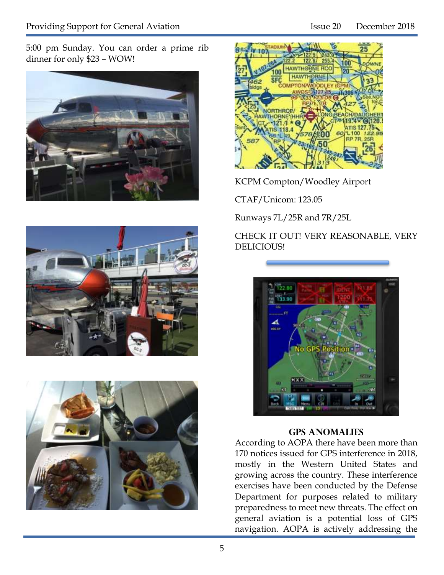5:00 pm Sunday. You can order a prime rib dinner for only \$23 – WOW!









KCPM Compton/Woodley Airport

CTAF/Unicom: 123.05

Runways 7L/25R and 7R/25L

CHECK IT OUT! VERY REASONABLE, VERY DELICIOUS!



#### **Gps aNOMALIES**

According to AOPA there have been more than 170 notices issued for GPS interference in 2018, mostly in the Western United States and growing across the country. These interference exercises have been conducted by the Defense Department for purposes related to military preparedness to meet new threats. The effect on general aviation is a potential loss of GPS navigation. AOPA is actively addressing the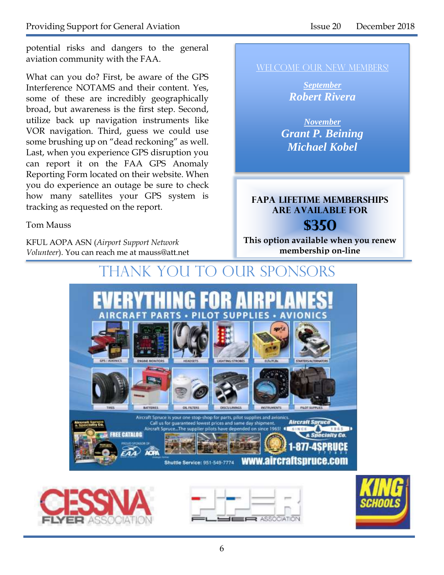potential risks and dangers to the general aviation community with the FAA.

What can you do? First, be aware of the GPS Interference NOTAMS and their content. Yes, some of these are incredibly geographically broad, but awareness is the first step. Second, utilize back up navigation instruments like VOR navigation. Third, guess we could use some brushing up on "dead reckoning" as well. Last, when you experience GPS disruption you can report it on the FAA GPS Anomaly Reporting Form located on their website. When you do experience an outage be sure to check how many satellites your GPS system is tracking as requested on the report.

#### Tom Mauss

KFUL AOPA ASN (*Airport Support Network Volunteer*). You can reach me at mauss@att.net WELCOME OUR NEW MEMBERS!

*September Robert Rivera*

*November Grant P. Beining Michael Kobel*

### **FAPA Lifetime memberships are available for \$350**

**This option available when you renew membership on-line**